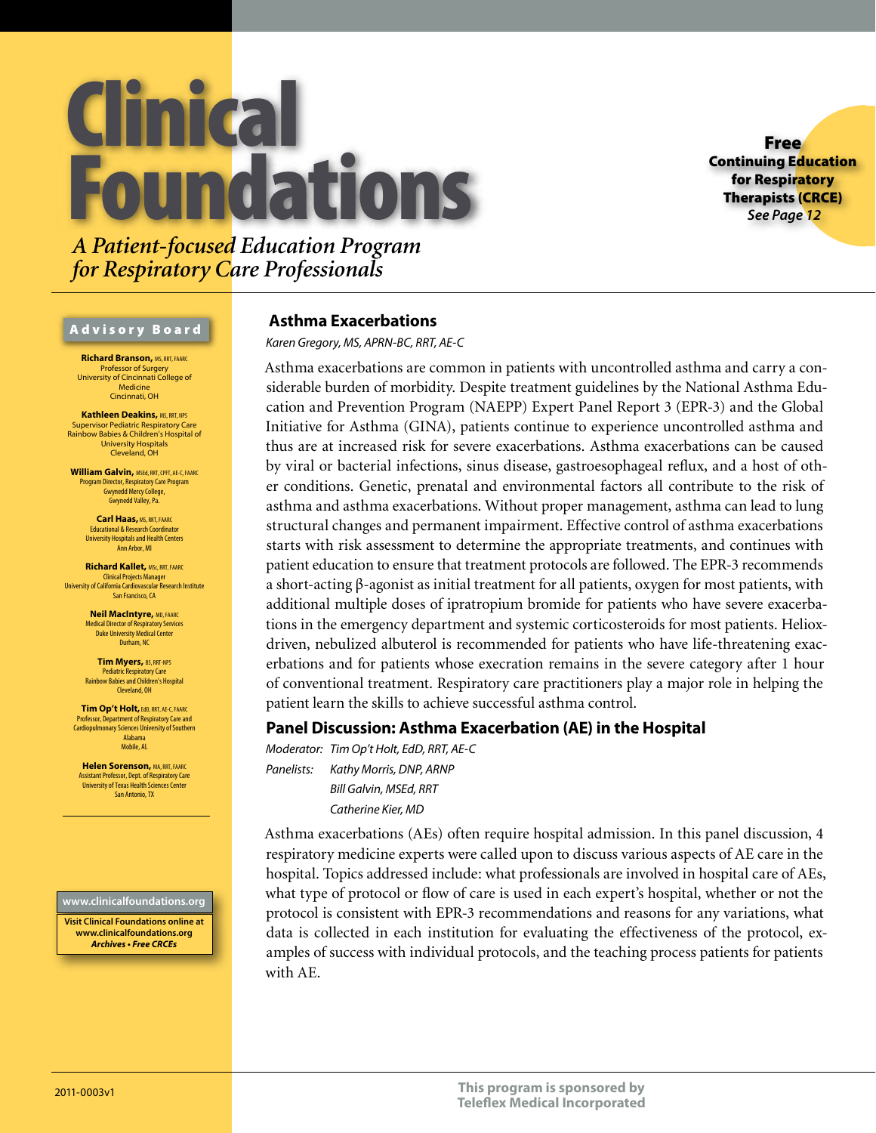# **Imica undations**

Free Continuing Education for Respiratory Therapists (CRCE) *See Page 12*

*A Patient-focused Education Program for Respiratory Care Professionals*

### Advisory Board

**Richard Branson, MS, RRT, FAAR** Professor of Surgery University of Cincinnati College of Medicine Cincinnati, OH

**Kathleen Deakins, MS, RRT, NPS** Supervisor Pediatric Respiratory Care Rainbow Babies & Children's Hospital of University Hospitals Cleveland, OH

**William Galvin, MSEd, RRT, CPFT, AE-C, FAARC** Program Director, Respiratory Care Program Gwynedd Mercy College, Gwynedd Valley, Pa.

> **Carl Haas, MS, RRT, FAARC** Educational & Research Coordinator University Hospitals and Health Centers Ann Arbor, MI

**Richard Kallet,** MSc, RRT, FAARC Clinical Projects Manager University of California Cardiovascular Research Institute San Francisco, CA

> **Neil MacIntyre,** MD, FAARC Medical Director of Respiratory Services Duke University Medical Center Durham, NC

**Tim Myers,** BS, RRT-NPS Pediatric Respiratory Care Rainbow Babies and Children's Hospital Cleveland, OH

**Tim Op't Holt,** EdD, RRT, AE-C, FAARC Professor, Department of Respiratory Care and Cardiopulmonary Sciences University of Southern Alabama Mobile, AL

**Helen Sorenson, MA, RRT, FAARC** Assistant Professor, Dept. of Respiratory Care University of Texas Health Sciences Center San Antonio, TX

### **www.clinicalfoundations.org**

**Visit Clinical Foundations online at www.clinicalfoundations.org** *Archives • Free CRCEs*

### **Asthma Exacerbations**

*Karen Gregory, MS, APRN-BC, RRT, AE-C*

Asthma exacerbations are common in patients with uncontrolled asthma and carry a considerable burden of morbidity. Despite treatment guidelines by the National Asthma Education and Prevention Program (NAEPP) Expert Panel Report 3 (EPR-3) and the Global Initiative for Asthma (GINA), patients continue to experience uncontrolled asthma and thus are at increased risk for severe exacerbations. Asthma exacerbations can be caused by viral or bacterial infections, sinus disease, gastroesophageal reflux, and a host of other conditions. Genetic, prenatal and environmental factors all contribute to the risk of asthma and asthma exacerbations. Without proper management, asthma can lead to lung structural changes and permanent impairment. Effective control of asthma exacerbations starts with risk assessment to determine the appropriate treatments, and continues with patient education to ensure that treatment protocols are followed. The EPR-3 recommends a short-acting β-agonist as initial treatment for all patients, oxygen for most patients, with additional multiple doses of ipratropium bromide for patients who have severe exacerbations in the emergency department and systemic corticosteroids for most patients. Helioxdriven, nebulized albuterol is recommended for patients who have life-threatening exacerbations and for patients whose execration remains in the severe category after 1 hour of conventional treatment. Respiratory care practitioners play a major role in helping the patient learn the skills to achieve successful asthma control.

### **Panel Discussion: Asthma Exacerbation (AE) in the Hospital**

*Moderator: Tim Op't Holt, EdD, RRT, AE-C Panelists: Kathy Morris, DNP, ARNP Bill Galvin, MSEd, RRT Catherine Kier, MD*

Asthma exacerbations (AEs) often require hospital admission. In this panel discussion, 4 respiratory medicine experts were called upon to discuss various aspects of AE care in the hospital. Topics addressed include: what professionals are involved in hospital care of AEs, what type of protocol or flow of care is used in each expert's hospital, whether or not the protocol is consistent with EPR-3 recommendations and reasons for any variations, what data is collected in each institution for evaluating the effectiveness of the protocol, examples of success with individual protocols, and the teaching process patients for patients with AE.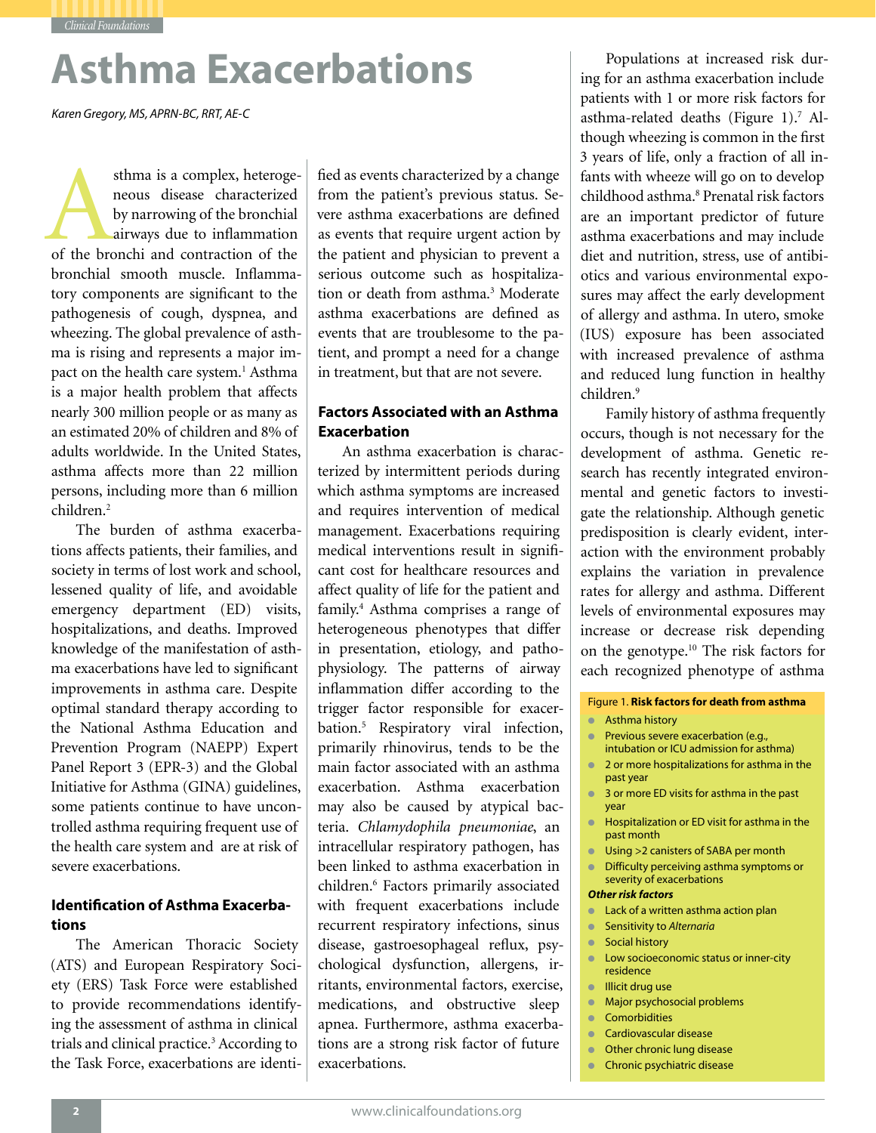*Clinical Foundations*

# **Asthma Exacerbations**

*Karen Gregory, MS, APRN-BC, RRT, AE-C*

sthma is a complex, heterogeneous disease characterized<br>by narrowing of the bronchial<br>airways due to inflammation<br>of the bronchi and contraction of the neous disease characterized by narrowing of the bronchial airways due to inflammation bronchial smooth muscle. Inflammatory components are significant to the pathogenesis of cough, dyspnea, and wheezing. The global prevalence of asthma is rising and represents a major impact on the health care system.<sup>1</sup> Asthma is a major health problem that affects nearly 300 million people or as many as an estimated 20% of children and 8% of adults worldwide. In the United States, asthma affects more than 22 million persons, including more than 6 million children.2

The burden of asthma exacerbations affects patients, their families, and society in terms of lost work and school, lessened quality of life, and avoidable emergency department (ED) visits, hospitalizations, and deaths. Improved knowledge of the manifestation of asthma exacerbations have led to significant improvements in asthma care. Despite optimal standard therapy according to the National Asthma Education and Prevention Program (NAEPP) Expert Panel Report 3 (EPR-3) and the Global Initiative for Asthma (GINA) guidelines, some patients continue to have uncontrolled asthma requiring frequent use of the health care system and are at risk of severe exacerbations.

### **Identification of Asthma Exacerbations**

The American Thoracic Society (ATS) and European Respiratory Society (ERS) Task Force were established to provide recommendations identifying the assessment of asthma in clinical trials and clinical practice.<sup>3</sup> According to the Task Force, exacerbations are identi-

fied as events characterized by a change from the patient's previous status. Severe asthma exacerbations are defined as events that require urgent action by the patient and physician to prevent a serious outcome such as hospitalization or death from asthma.<sup>3</sup> Moderate asthma exacerbations are defined as events that are troublesome to the patient, and prompt a need for a change in treatment, but that are not severe.

### **Factors Associated with an Asthma Exacerbation**

An asthma exacerbation is characterized by intermittent periods during which asthma symptoms are increased and requires intervention of medical management. Exacerbations requiring medical interventions result in significant cost for healthcare resources and affect quality of life for the patient and family.4 Asthma comprises a range of heterogeneous phenotypes that differ in presentation, etiology, and pathophysiology. The patterns of airway inflammation differ according to the trigger factor responsible for exacerbation.5 Respiratory viral infection, primarily rhinovirus, tends to be the main factor associated with an asthma exacerbation. Asthma exacerbation may also be caused by atypical bacteria. *Chlamydophila pneumoniae*, an intracellular respiratory pathogen, has been linked to asthma exacerbation in children.6 Factors primarily associated with frequent exacerbations include recurrent respiratory infections, sinus disease, gastroesophageal reflux, psychological dysfunction, allergens, irritants, environmental factors, exercise, medications, and obstructive sleep apnea. Furthermore, asthma exacerbations are a strong risk factor of future exacerbations.

Populations at increased risk during for an asthma exacerbation include patients with 1 or more risk factors for asthma-related deaths (Figure 1).<sup>7</sup> Although wheezing is common in the first 3 years of life, only a fraction of all infants with wheeze will go on to develop childhood asthma.<sup>8</sup> Prenatal risk factors are an important predictor of future asthma exacerbations and may include diet and nutrition, stress, use of antibiotics and various environmental exposures may affect the early development of allergy and asthma. In utero, smoke (IUS) exposure has been associated with increased prevalence of asthma and reduced lung function in healthy children.9

Family history of asthma frequently occurs, though is not necessary for the development of asthma. Genetic research has recently integrated environmental and genetic factors to investigate the relationship. Although genetic predisposition is clearly evident, interaction with the environment probably explains the variation in prevalence rates for allergy and asthma. Different levels of environmental exposures may increase or decrease risk depending on the genotype.10 The risk factors for each recognized phenotype of asthma

### Figure 1. **Risk factors for death from asthma**

- Asthma history
- **•** Previous severe exacerbation (e.g., intubation or ICU admission for asthma)
- 2 or more hospitalizations for asthma in the past year
- 3 or more ED visits for asthma in the past year
- Hospitalization or ED visit for asthma in the past month
- Using >2 canisters of SABA per month
- Difficulty perceiving asthma symptoms or severity of exacerbations

### *Other risk factors*

- Lack of a written asthma action plan
- Sensitivity to *Alternaria*
- Social history
- Low socioeconomic status or inner-city residence
- Illicit drug use
- Major psychosocial problems
- Comorbidities
- Cardiovascular disease
- Other chronic lung disease
- Chronic psychiatric disease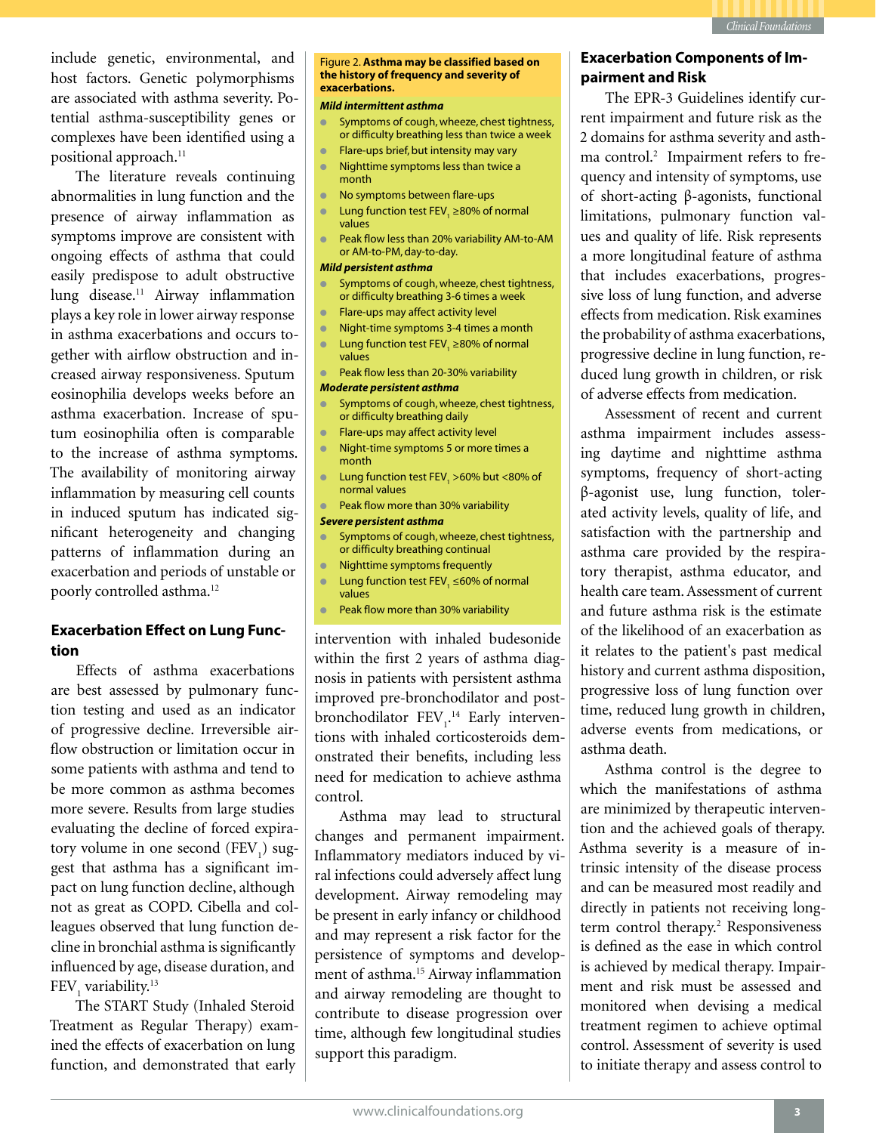

include genetic, environmental, and host factors. Genetic polymorphisms are associated with asthma severity. Potential asthma-susceptibility genes or complexes have been identified using a positional approach.<sup>11</sup>

The literature reveals continuing abnormalities in lung function and the presence of airway inflammation as symptoms improve are consistent with ongoing effects of asthma that could easily predispose to adult obstructive lung disease.11 Airway inflammation plays a key role in lower airway response in asthma exacerbations and occurs together with airflow obstruction and increased airway responsiveness. Sputum eosinophilia develops weeks before an asthma exacerbation. Increase of sputum eosinophilia often is comparable to the increase of asthma symptoms. The availability of monitoring airway inflammation by measuring cell counts in induced sputum has indicated significant heterogeneity and changing patterns of inflammation during an exacerbation and periods of unstable or poorly controlled asthma.12

### **Exacerbation Effect on Lung Function**

Effects of asthma exacerbations are best assessed by pulmonary function testing and used as an indicator of progressive decline. Irreversible airflow obstruction or limitation occur in some patients with asthma and tend to be more common as asthma becomes more severe. Results from large studies evaluating the decline of forced expiratory volume in one second  $(FEV_{1})$  suggest that asthma has a significant impact on lung function decline, although not as great as COPD. Cibella and colleagues observed that lung function decline in bronchial asthma is significantly influenced by age, disease duration, and  $\text{FEV}_1$  variability.<sup>13</sup>

The START Study (Inhaled Steroid Treatment as Regular Therapy) examined the effects of exacerbation on lung function, and demonstrated that early

### Figure 2. **Asthma may be classified based on the history of frequency and severity of exacerbations.**

### *Mild intermittent asthma*

- Symptoms of cough, wheeze, chest tightness, or difficulty breathing less than twice a week
- Flare-ups brief, but intensity may vary
- Nighttime symptoms less than twice a month
- No symptoms between flare-ups
- Lung function test FEV, ≥80% of normal values
- Peak flow less than 20% variability AM-to-AM or AM-to-PM, day-to-day.

### *Mild persistent asthma*

- Symptoms of cough, wheeze, chest tightness, or difficulty breathing 3-6 times a week
- Flare-ups may affect activity level
- Night-time symptoms 3-4 times a month
- Lung function test FEV, ≥80% of normal values
- Peak flow less than 20-30% variability

### *Moderate persistent asthma*

- Symptoms of cough, wheeze, chest tightness, or difficulty breathing daily
- Flare-ups may affect activity level
- Night-time symptoms 5 or more times a month
- **•** Lung function test  $FEV_1 > 60\%$  but <80% of normal values
- Peak flow more than 30% variability

### *Severe persistent asthma*

- Symptoms of cough, wheeze, chest tightness, or difficulty breathing continual
- Nighttime symptoms frequently
- Lung function test FEV, ≤60% of normal values
- Peak flow more than 30% variability

intervention with inhaled budesonide within the first 2 years of asthma diagnosis in patients with persistent asthma improved pre-bronchodilator and postbronchodilator  $FEV<sub>1</sub><sup>14</sup>$  Early interventions with inhaled corticosteroids demonstrated their benefits, including less need for medication to achieve asthma control.

Asthma may lead to structural changes and permanent impairment. Inflammatory mediators induced by viral infections could adversely affect lung development. Airway remodeling may be present in early infancy or childhood and may represent a risk factor for the persistence of symptoms and development of asthma.<sup>15</sup> Airway inflammation and airway remodeling are thought to contribute to disease progression over time, although few longitudinal studies support this paradigm.

### **Exacerbation Components of Impairment and Risk**

The EPR-3 Guidelines identify current impairment and future risk as the 2 domains for asthma severity and asthma control.<sup>2</sup> Impairment refers to frequency and intensity of symptoms, use of short-acting β-agonists, functional limitations, pulmonary function values and quality of life. Risk represents a more longitudinal feature of asthma that includes exacerbations, progressive loss of lung function, and adverse effects from medication. Risk examines the probability of asthma exacerbations, progressive decline in lung function, reduced lung growth in children, or risk of adverse effects from medication.

Assessment of recent and current asthma impairment includes assessing daytime and nighttime asthma symptoms, frequency of short-acting β-agonist use, lung function, tolerated activity levels, quality of life, and satisfaction with the partnership and asthma care provided by the respiratory therapist, asthma educator, and health care team. Assessment of current and future asthma risk is the estimate of the likelihood of an exacerbation as it relates to the patient's past medical history and current asthma disposition, progressive loss of lung function over time, reduced lung growth in children, adverse events from medications, or asthma death.

Asthma control is the degree to which the manifestations of asthma are minimized by therapeutic intervention and the achieved goals of therapy. Asthma severity is a measure of intrinsic intensity of the disease process and can be measured most readily and directly in patients not receiving longterm control therapy.<sup>2</sup> Responsiveness is defined as the ease in which control is achieved by medical therapy. Impairment and risk must be assessed and monitored when devising a medical treatment regimen to achieve optimal control. Assessment of severity is used to initiate therapy and assess control to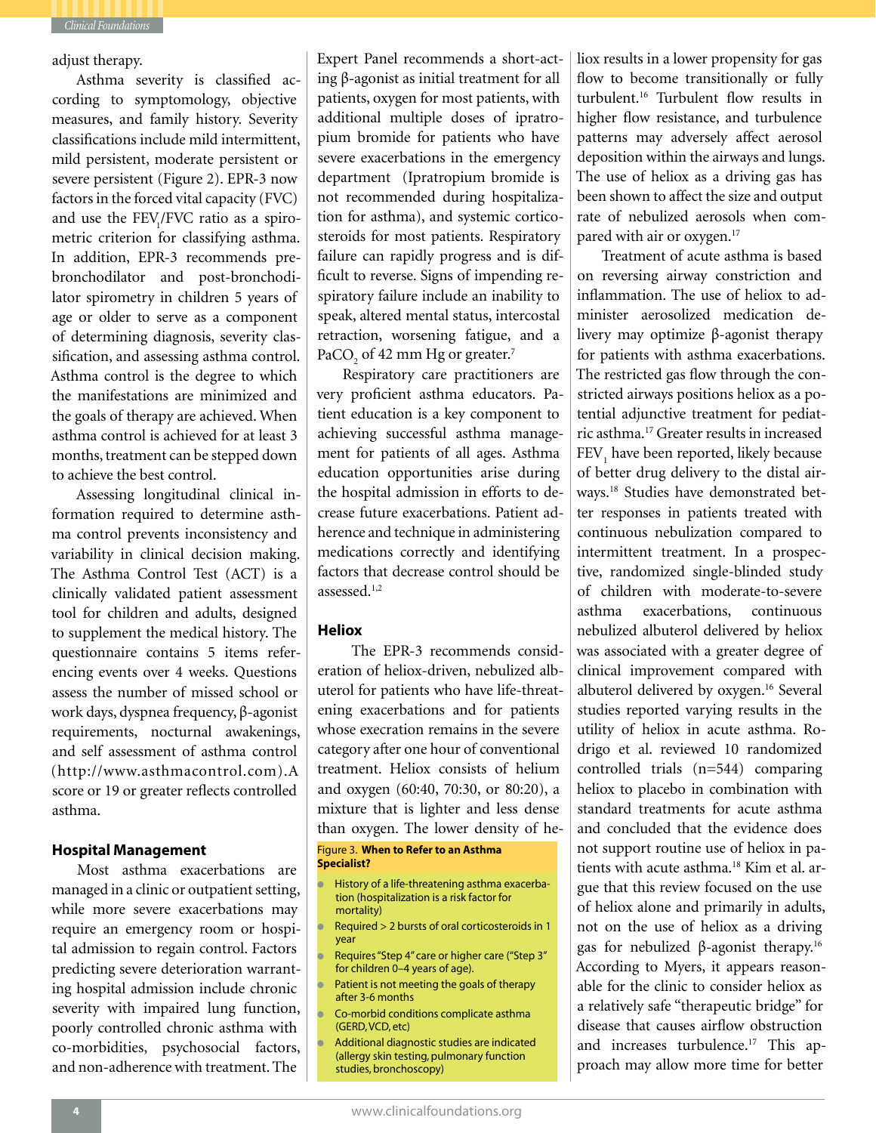

adjust therapy.

Asthma severity is classified according to symptomology, objective measures, and family history. Severity classifications include mild intermittent, mild persistent, moderate persistent or severe persistent (Figure 2). EPR-3 now factors in the forced vital capacity (FVC) and use the FEV<sub>1</sub>/FVC ratio as a spirometric criterion for classifying asthma. In addition, EPR-3 recommends prebronchodilator and post-bronchodilator spirometry in children 5 years of age or older to serve as a component of determining diagnosis, severity classification, and assessing asthma control. Asthma control is the degree to which the manifestations are minimized and the goals of therapy are achieved. When asthma control is achieved for at least 3 months, treatment can be stepped down to achieve the best control.

Assessing longitudinal clinical information required to determine asthma control prevents inconsistency and variability in clinical decision making. The Asthma Control Test (ACT) is a clinically validated patient assessment tool for children and adults, designed to supplement the medical history. The questionnaire contains 5 items referencing events over 4 weeks. Questions assess the number of missed school or work days, dyspnea frequency, β-agonist requirements, nocturnal awakenings, and self assessment of asthma control (http://www.asthmacontrol.com).A score or 19 or greater reflects controlled asthma.

### **Hospital Management**

Most asthma exacerbations are managed in a clinic or outpatient setting, while more severe exacerbations may require an emergency room or hospital admission to regain control. Factors predicting severe deterioration warranting hospital admission include chronic severity with impaired lung function, poorly controlled chronic asthma with co-morbidities, psychosocial factors, and non-adherence with treatment. The

Expert Panel recommends a short-acting β-agonist as initial treatment for all patients, oxygen for most patients, with additional multiple doses of ipratropium bromide for patients who have severe exacerbations in the emergency department (Ipratropium bromide is not recommended during hospitalization for asthma), and systemic corticosteroids for most patients. Respiratory failure can rapidly progress and is difficult to reverse. Signs of impending respiratory failure include an inability to speak, altered mental status, intercostal retraction, worsening fatigue, and a PaCO<sub>2</sub> of 42 mm Hg or greater.<sup>7</sup>

Respiratory care practitioners are very proficient asthma educators. Patient education is a key component to achieving successful asthma management for patients of all ages. Asthma education opportunities arise during the hospital admission in efforts to decrease future exacerbations. Patient adherence and technique in administering medications correctly and identifying factors that decrease control should be assessed.1,2

### **Heliox**

The EPR-3 recommends consideration of heliox-driven, nebulized albuterol for patients who have life-threatening exacerbations and for patients whose execration remains in the severe category after one hour of conventional treatment. Heliox consists of helium and oxygen (60:40, 70:30, or 80:20), a mixture that is lighter and less dense than oxygen. The lower density of he-

### Figure 3. **When to Refer to an Asthma Specialist?**

- History of a life-threatening asthma exacerbation (hospitalization is a risk factor for mortality)
- Required  $> 2$  bursts of oral corticosteroids in 1 year
- Requires "Step 4" care or higher care ("Step 3" for children 0–4 years of age).
- Patient is not meeting the goals of therapy after 3-6 months
- Co-morbid conditions complicate asthma (GERD, VCD, etc)
- Additional diagnostic studies are indicated (allergy skin testing, pulmonary function studies, bronchoscopy)

liox results in a lower propensity for gas flow to become transitionally or fully turbulent.16 Turbulent flow results in higher flow resistance, and turbulence patterns may adversely affect aerosol deposition within the airways and lungs. The use of heliox as a driving gas has been shown to affect the size and output rate of nebulized aerosols when compared with air or oxygen.<sup>17</sup>

Treatment of acute asthma is based on reversing airway constriction and inflammation. The use of heliox to administer aerosolized medication delivery may optimize β-agonist therapy for patients with asthma exacerbations. The restricted gas flow through the constricted airways positions heliox as a potential adjunctive treatment for pediatric asthma.17 Greater results in increased FEV<sub>1</sub> have been reported, likely because of better drug delivery to the distal airways.18 Studies have demonstrated better responses in patients treated with continuous nebulization compared to intermittent treatment. In a prospective, randomized single-blinded study of children with moderate-to-severe asthma exacerbations, continuous nebulized albuterol delivered by heliox was associated with a greater degree of clinical improvement compared with albuterol delivered by oxygen.<sup>16</sup> Several studies reported varying results in the utility of heliox in acute asthma. Rodrigo et al. reviewed 10 randomized controlled trials (n=544) comparing heliox to placebo in combination with standard treatments for acute asthma and concluded that the evidence does not support routine use of heliox in patients with acute asthma.<sup>18</sup> Kim et al. argue that this review focused on the use of heliox alone and primarily in adults, not on the use of heliox as a driving gas for nebulized β-agonist therapy.16 According to Myers, it appears reasonable for the clinic to consider heliox as a relatively safe "therapeutic bridge" for disease that causes airflow obstruction and increases turbulence.<sup>17</sup> This approach may allow more time for better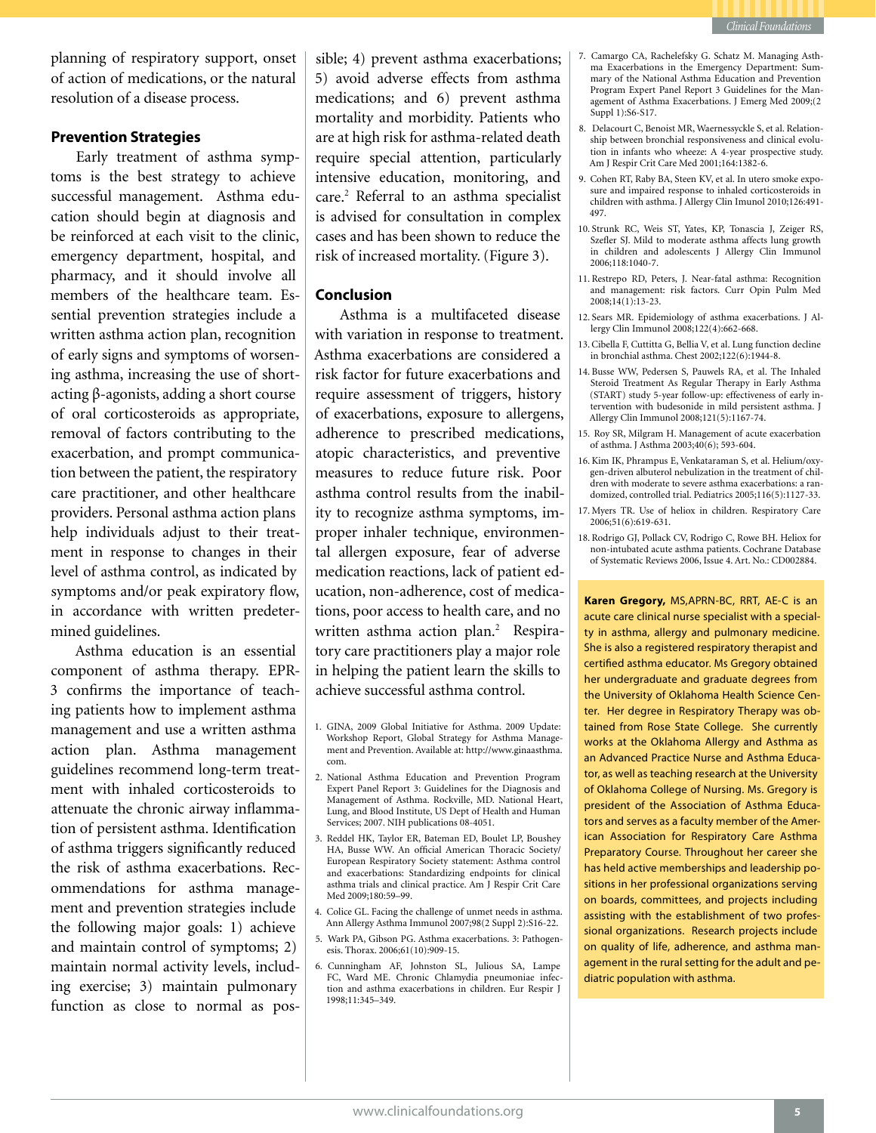

planning of respiratory support, onset of action of medications, or the natural resolution of a disease process.

### **Prevention Strategies**

Early treatment of asthma symptoms is the best strategy to achieve successful management. Asthma education should begin at diagnosis and be reinforced at each visit to the clinic, emergency department, hospital, and pharmacy, and it should involve all members of the healthcare team. Essential prevention strategies include a written asthma action plan, recognition of early signs and symptoms of worsening asthma, increasing the use of shortacting β-agonists, adding a short course of oral corticosteroids as appropriate, removal of factors contributing to the exacerbation, and prompt communication between the patient, the respiratory care practitioner, and other healthcare providers. Personal asthma action plans help individuals adjust to their treatment in response to changes in their level of asthma control, as indicated by symptoms and/or peak expiratory flow, in accordance with written predetermined guidelines.

Asthma education is an essential component of asthma therapy. EPR-3 confirms the importance of teaching patients how to implement asthma management and use a written asthma action plan. Asthma management guidelines recommend long-term treatment with inhaled corticosteroids to attenuate the chronic airway inflammation of persistent asthma. Identification of asthma triggers significantly reduced the risk of asthma exacerbations. Recommendations for asthma management and prevention strategies include the following major goals: 1) achieve and maintain control of symptoms; 2) maintain normal activity levels, including exercise; 3) maintain pulmonary function as close to normal as possible; 4) prevent asthma exacerbations; 5) avoid adverse effects from asthma medications; and 6) prevent asthma mortality and morbidity. Patients who are at high risk for asthma-related death require special attention, particularly intensive education, monitoring, and care.<sup>2</sup> Referral to an asthma specialist is advised for consultation in complex cases and has been shown to reduce the risk of increased mortality. (Figure 3).

### **Conclusion**

Asthma is a multifaceted disease with variation in response to treatment. Asthma exacerbations are considered a risk factor for future exacerbations and require assessment of triggers, history of exacerbations, exposure to allergens, adherence to prescribed medications, atopic characteristics, and preventive measures to reduce future risk. Poor asthma control results from the inability to recognize asthma symptoms, improper inhaler technique, environmental allergen exposure, fear of adverse medication reactions, lack of patient education, non-adherence, cost of medications, poor access to health care, and no written asthma action plan.<sup>2</sup> Respiratory care practitioners play a major role in helping the patient learn the skills to achieve successful asthma control.

- 2. National Asthma Education and Prevention Program Expert Panel Report 3: Guidelines for the Diagnosis and Management of Asthma. Rockville, MD. National Heart, Lung, and Blood Institute, US Dept of Health and Human Services; 2007. NIH publications 08-4051.
- 3. Reddel HK, Taylor ER, Bateman ED, Boulet LP, Boushey HA, Busse WW. An official American Thoracic Society/ European Respiratory Society statement: Asthma control and exacerbations: Standardizing endpoints for clinical asthma trials and clinical practice. Am J Respir Crit Care Med 2009;180:59–99.
- 4. Colice GL. Facing the challenge of unmet needs in asthma. Ann Allergy Asthma Immunol 2007;98(2 Suppl 2):S16-22.
- 5. Wark PA, Gibson PG. Asthma exacerbations. 3: Pathogenesis. Thorax. 2006;61(10):909-15.
- 6. Cunningham AF, Johnston SL, Julious SA, Lampe FC, Ward ME. Chronic Chlamydia pneumoniae infection and asthma exacerbations in children. Eur Respir J 1998;11:345–349.
- 7. Camargo CA, Rachelefsky G. Schatz M. Managing Asthma Exacerbations in the Emergency Department: Summary of the National Asthma Education and Prevention Program Expert Panel Report 3 Guidelines for the Management of Asthma Exacerbations. J Emerg Med 2009;(2 Suppl 1):S6-S17.
- 8. Delacourt C, Benoist MR, Waernessyckle S, et al. Relationship between bronchial responsiveness and clinical evolution in infants who wheeze: A 4-year prospective study. Am J Respir Crit Care Med 2001;164:1382-6.
- 9. Cohen RT, Raby BA, Steen KV, et al. In utero smoke exposure and impaired response to inhaled corticosteroids in children with asthma. J Allergy Clin Imunol 2010;126:491- 497.
- 10. Strunk RC, Weis ST, Yates, KP, Tonascia J, Zeiger RS, Szefler SJ. Mild to moderate asthma affects lung growth in children and adolescents J Allergy Clin Immunol 2006;118:1040-7.
- 11. Restrepo RD, Peters, J. Near-fatal asthma: Recognition and management: risk factors. Curr Opin Pulm Med 2008;14(1):13-23.
- 12. Sears MR. Epidemiology of asthma exacerbations. J Allergy Clin Immunol 2008;122(4):662-668.
- 13.Cibella F, Cuttitta G, Bellia V, et al. Lung function decline in bronchial asthma. Chest 2002;122(6):1944-8.
- 14. Busse WW, Pedersen S, Pauwels RA, et al. The Inhaled Steroid Treatment As Regular Therapy in Early Asthma (START) study 5-year follow-up: effectiveness of early intervention with budesonide in mild persistent asthma. J Allergy Clin Immunol 2008;121(5):1167-74.
- 15. Roy SR, Milgram H. Management of acute exacerbation of asthma. J Asthma 2003;40(6); 593-604.
- 16. Kim IK, Phrampus E, Venkataraman S, et al. Helium/oxygen-driven albuterol nebulization in the treatment of children with moderate to severe asthma exacerbations: a randomized, controlled trial. Pediatrics 2005;116(5):1127-33.
- 17. Myers TR. Use of heliox in children. Respiratory Care 2006;51(6):619-631.
- 18. Rodrigo GJ, Pollack CV, Rodrigo C, Rowe BH. Heliox for non-intubated acute asthma patients. Cochrane Database of Systematic Reviews 2006, Issue 4. Art. No.: CD002884.

**Karen Gregory,** MS,APRN-BC, RRT, AE-C is an acute care clinical nurse specialist with a specialty in asthma, allergy and pulmonary medicine. She is also a registered respiratory therapist and certified asthma educator. Ms Gregory obtained her undergraduate and graduate degrees from the University of Oklahoma Health Science Center. Her degree in Respiratory Therapy was obtained from Rose State College. She currently works at the Oklahoma Allergy and Asthma as an Advanced Practice Nurse and Asthma Educator, as well as teaching research at the University of Oklahoma College of Nursing. Ms. Gregory is president of the Association of Asthma Educators and serves as a faculty member of the American Association for Respiratory Care Asthma Preparatory Course. Throughout her career she has held active memberships and leadership positions in her professional organizations serving on boards, committees, and projects including assisting with the establishment of two professional organizations. Research projects include on quality of life, adherence, and asthma management in the rural setting for the adult and pediatric population with asthma.

<sup>1.</sup> GINA, 2009 Global Initiative for Asthma. 2009 Update: Workshop Report, Global Strategy for Asthma Management and Prevention. Available at: http://www.ginaasthma. com.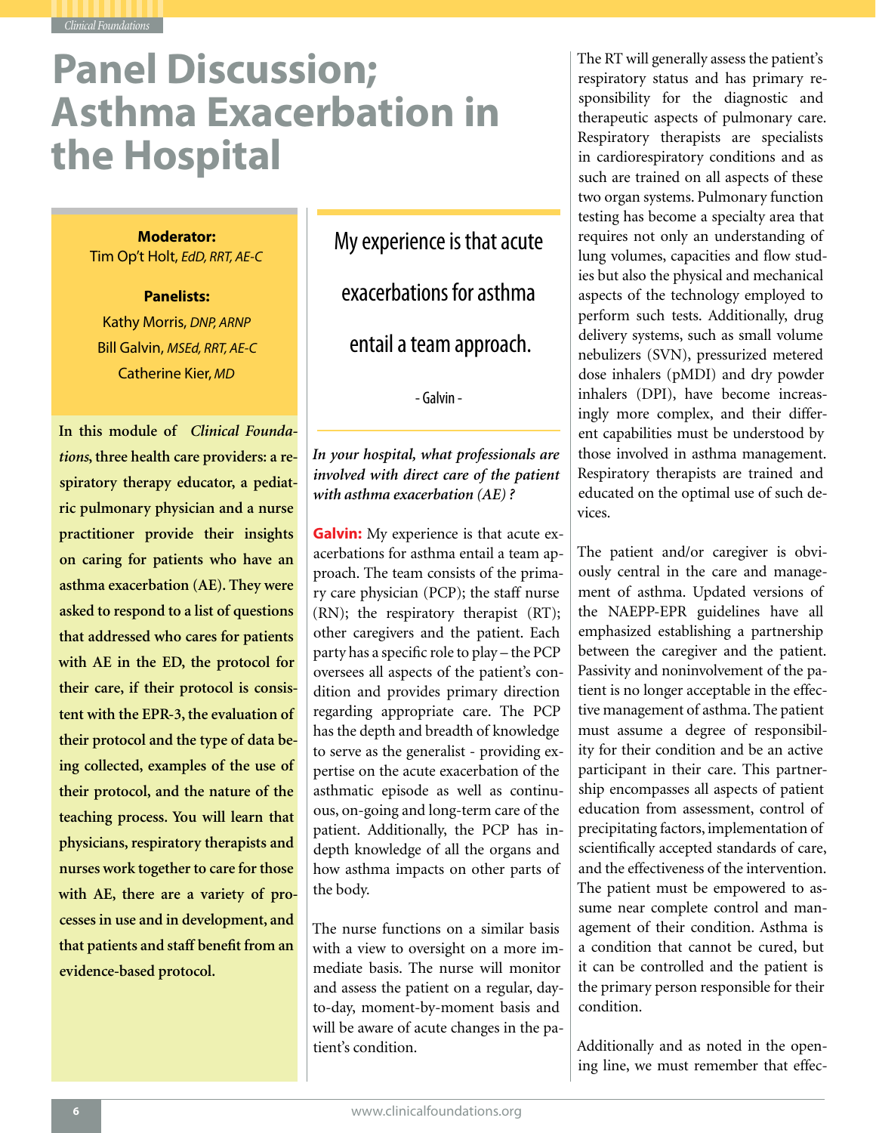## **Panel Discussion; Asthma Exacerbation in the Hospital**

### **Moderator:**

Tim Op't Holt, *EdD, RRT, AE-C*

**Panelists:** Kathy Morris, *DNP, ARNP* Bill Galvin, *MSEd, RRT, AE-C* Catherine Kier, *MD*

**In this module of** *Clinical Foundations***, three health care providers: a respiratory therapy educator, a pediatric pulmonary physician and a nurse practitioner provide their insights on caring for patients who have an asthma exacerbation (AE). They were asked to respond to a list of questions that addressed who cares for patients with AE in the ED, the protocol for their care, if their protocol is consistent with the EPR-3, the evaluation of their protocol and the type of data being collected, examples of the use of their protocol, and the nature of the teaching process. You will learn that physicians, respiratory therapists and nurses work together to care for those with AE, there are a variety of processes in use and in development, and that patients and staff benefit from an evidence-based protocol.** 

My experience is that acute exacerbations for asthma entail a team approach.

- Galvin -

### *In your hospital, what professionals are involved with direct care of the patient with asthma exacerbation (AE) ?*

**Galvin:** My experience is that acute exacerbations for asthma entail a team approach. The team consists of the primary care physician (PCP); the staff nurse (RN); the respiratory therapist (RT); other caregivers and the patient. Each party has a specific role to play – the PCP oversees all aspects of the patient's condition and provides primary direction regarding appropriate care. The PCP has the depth and breadth of knowledge to serve as the generalist - providing expertise on the acute exacerbation of the asthmatic episode as well as continuous, on-going and long-term care of the patient. Additionally, the PCP has indepth knowledge of all the organs and how asthma impacts on other parts of the body.

The nurse functions on a similar basis with a view to oversight on a more immediate basis. The nurse will monitor and assess the patient on a regular, dayto-day, moment-by-moment basis and will be aware of acute changes in the patient's condition.

The RT will generally assess the patient's respiratory status and has primary responsibility for the diagnostic and therapeutic aspects of pulmonary care. Respiratory therapists are specialists in cardiorespiratory conditions and as such are trained on all aspects of these two organ systems. Pulmonary function testing has become a specialty area that requires not only an understanding of lung volumes, capacities and flow studies but also the physical and mechanical aspects of the technology employed to perform such tests. Additionally, drug delivery systems, such as small volume nebulizers (SVN), pressurized metered dose inhalers (pMDI) and dry powder inhalers (DPI), have become increasingly more complex, and their different capabilities must be understood by those involved in asthma management. Respiratory therapists are trained and educated on the optimal use of such devices.

The patient and/or caregiver is obviously central in the care and management of asthma. Updated versions of the NAEPP-EPR guidelines have all emphasized establishing a partnership between the caregiver and the patient. Passivity and noninvolvement of the patient is no longer acceptable in the effective management of asthma. The patient must assume a degree of responsibility for their condition and be an active participant in their care. This partnership encompasses all aspects of patient education from assessment, control of precipitating factors, implementation of scientifically accepted standards of care, and the effectiveness of the intervention. The patient must be empowered to assume near complete control and management of their condition. Asthma is a condition that cannot be cured, but it can be controlled and the patient is the primary person responsible for their condition.

Additionally and as noted in the opening line, we must remember that effec-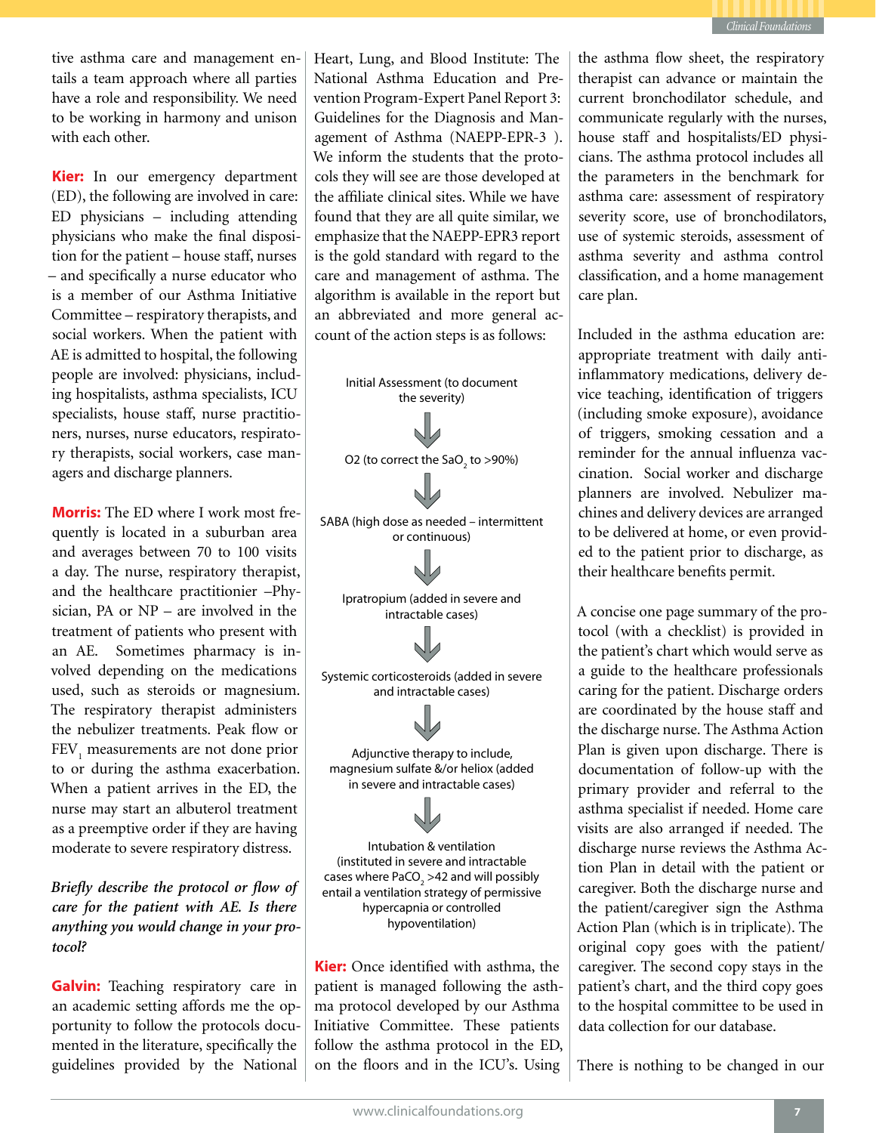

tive asthma care and management entails a team approach where all parties have a role and responsibility. We need to be working in harmony and unison with each other.

**Kier:** In our emergency department (ED), the following are involved in care: ED physicians – including attending physicians who make the final disposition for the patient – house staff, nurses – and specifically a nurse educator who is a member of our Asthma Initiative Committee – respiratory therapists, and social workers. When the patient with AE is admitted to hospital, the following people are involved: physicians, including hospitalists, asthma specialists, ICU specialists, house staff, nurse practitioners, nurses, nurse educators, respiratory therapists, social workers, case managers and discharge planners.

**Morris:** The ED where I work most frequently is located in a suburban area and averages between 70 to 100 visits a day. The nurse, respiratory therapist, and the healthcare practitionier –Physician, PA or NP – are involved in the treatment of patients who present with an AE. Sometimes pharmacy is involved depending on the medications used, such as steroids or magnesium. The respiratory therapist administers the nebulizer treatments. Peak flow or FEV<sub>1</sub> measurements are not done prior to or during the asthma exacerbation. When a patient arrives in the ED, the nurse may start an albuterol treatment as a preemptive order if they are having moderate to severe respiratory distress.

*Briefly describe the protocol or flow of care for the patient with AE. Is there anything you would change in your protocol?* 

**Galvin:** Teaching respiratory care in an academic setting affords me the opportunity to follow the protocols documented in the literature, specifically the guidelines provided by the National

Heart, Lung, and Blood Institute: The National Asthma Education and Prevention Program-Expert Panel Report 3: Guidelines for the Diagnosis and Management of Asthma (NAEPP-EPR-3 ). We inform the students that the protocols they will see are those developed at the affiliate clinical sites. While we have found that they are all quite similar, we emphasize that the NAEPP-EPR3 report is the gold standard with regard to the care and management of asthma. The algorithm is available in the report but an abbreviated and more general account of the action steps is as follows:

Initial Assessment (to document the severity) O2 (to correct the SaO $_{\rm 2}$  to >90%) SABA (high dose as needed – intermittent or continuous) Ipratropium (added in severe and intractable cases) Systemic corticosteroids (added in severe and intractable cases) Adjunctive therapy to include, magnesium sulfate &/or heliox (added in severe and intractable cases) Intubation & ventilation (instituted in severe and intractable cases where PaCO $_2$  >42 and will possibly entail a ventilation strategy of permissive hypercapnia or controlled hypoventilation) **Kier:** Once identified with asthma, the patient is managed following the asthma protocol developed by our Asthma Initiative Committee. These patients the asthma flow sheet, the respiratory therapist can advance or maintain the current bronchodilator schedule, and communicate regularly with the nurses, house staff and hospitalists/ED physicians. The asthma protocol includes all the parameters in the benchmark for asthma care: assessment of respiratory severity score, use of bronchodilators, use of systemic steroids, assessment of asthma severity and asthma control classification, and a home management care plan.

Included in the asthma education are: appropriate treatment with daily antiinflammatory medications, delivery device teaching, identification of triggers (including smoke exposure), avoidance of triggers, smoking cessation and a reminder for the annual influenza vaccination. Social worker and discharge planners are involved. Nebulizer machines and delivery devices are arranged to be delivered at home, or even provided to the patient prior to discharge, as their healthcare benefits permit.

A concise one page summary of the protocol (with a checklist) is provided in the patient's chart which would serve as a guide to the healthcare professionals caring for the patient. Discharge orders are coordinated by the house staff and the discharge nurse. The Asthma Action Plan is given upon discharge. There is documentation of follow-up with the primary provider and referral to the asthma specialist if needed. Home care visits are also arranged if needed. The discharge nurse reviews the Asthma Action Plan in detail with the patient or caregiver. Both the discharge nurse and the patient/caregiver sign the Asthma Action Plan (which is in triplicate). The original copy goes with the patient/ caregiver. The second copy stays in the patient's chart, and the third copy goes to the hospital committee to be used in data collection for our database.

There is nothing to be changed in our

follow the asthma protocol in the ED, on the floors and in the ICU's. Using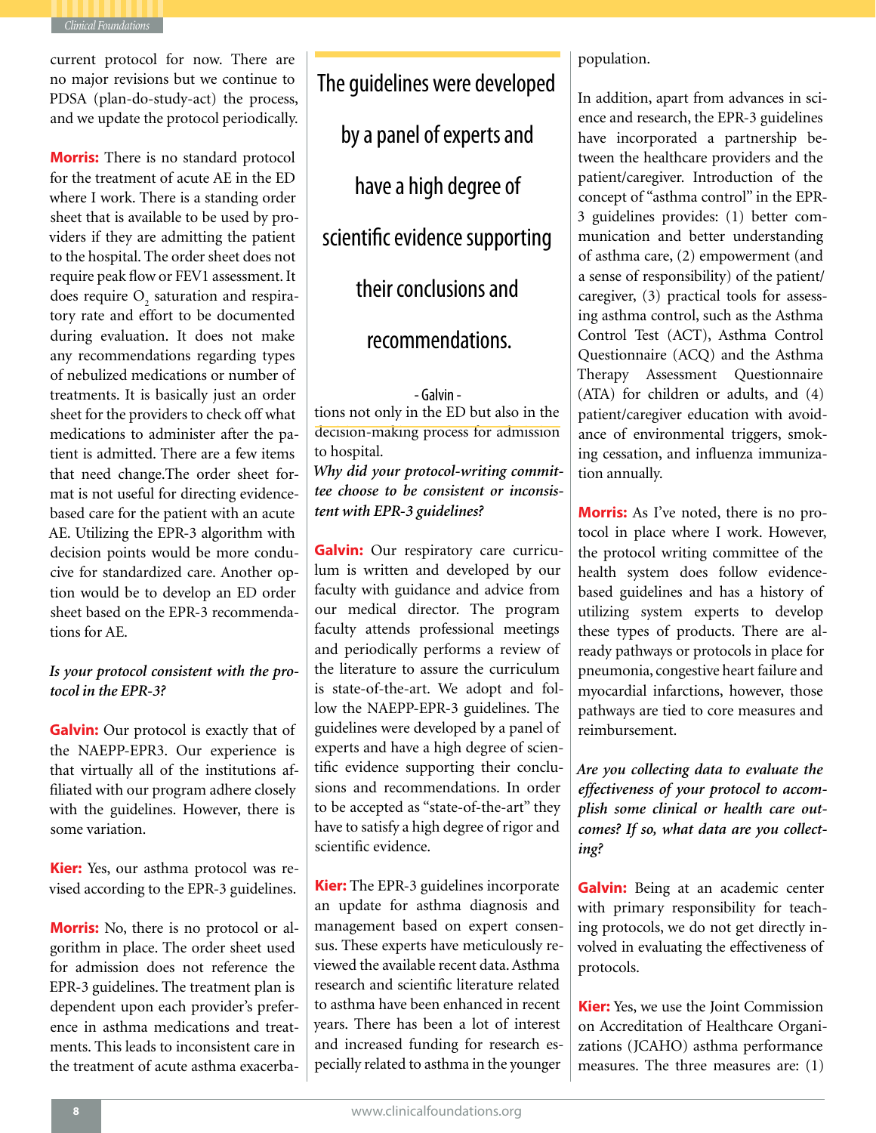

current protocol for now. There are no major revisions but we continue to PDSA (plan-do-study-act) the process, and we update the protocol periodically.

**Morris:** There is no standard protocol for the treatment of acute AE in the ED where I work. There is a standing order sheet that is available to be used by providers if they are admitting the patient to the hospital. The order sheet does not require peak flow or FEV1 assessment. It does require  $O_2$  saturation and respiratory rate and effort to be documented during evaluation. It does not make any recommendations regarding types of nebulized medications or number of treatments. It is basically just an order sheet for the providers to check off what medications to administer after the patient is admitted. There are a few items that need change.The order sheet format is not useful for directing evidencebased care for the patient with an acute AE. Utilizing the EPR-3 algorithm with decision points would be more conducive for standardized care. Another option would be to develop an ED order sheet based on the EPR-3 recommendations for AE.

### *Is your protocol consistent with the protocol in the EPR-3?*

**Galvin:** Our protocol is exactly that of the NAEPP-EPR3. Our experience is that virtually all of the institutions affiliated with our program adhere closely with the guidelines. However, there is some variation.

**Kier:** Yes, our asthma protocol was revised according to the EPR-3 guidelines.

**Morris:** No, there is no protocol or algorithm in place. The order sheet used for admission does not reference the EPR-3 guidelines. The treatment plan is dependent upon each provider's preference in asthma medications and treatments. This leads to inconsistent care in the treatment of acute asthma exacerbaThe guidelines were developed by a panel of experts and have a high degree of scientific evidence supporting their conclusions and

### recommendations.

tions not only in the ED but also in the decision-making process for admission to hospital. - Galvin -

*Why did your protocol-writing committee choose to be consistent or inconsistent with EPR-3 guidelines?* 

**Galvin:** Our respiratory care curriculum is written and developed by our faculty with guidance and advice from our medical director. The program faculty attends professional meetings and periodically performs a review of the literature to assure the curriculum is state-of-the-art. We adopt and follow the NAEPP-EPR-3 guidelines. The guidelines were developed by a panel of experts and have a high degree of scientific evidence supporting their conclusions and recommendations. In order to be accepted as "state-of-the-art" they have to satisfy a high degree of rigor and scientific evidence.

**Kier:** The EPR-3 guidelines incorporate an update for asthma diagnosis and management based on expert consensus. These experts have meticulously reviewed the available recent data. Asthma research and scientific literature related to asthma have been enhanced in recent years. There has been a lot of interest and increased funding for research especially related to asthma in the younger

### population.

In addition, apart from advances in science and research, the EPR-3 guidelines have incorporated a partnership between the healthcare providers and the patient/caregiver. Introduction of the concept of "asthma control" in the EPR-3 guidelines provides: (1) better communication and better understanding of asthma care, (2) empowerment (and a sense of responsibility) of the patient/ caregiver, (3) practical tools for assessing asthma control, such as the Asthma Control Test (ACT), Asthma Control Questionnaire (ACQ) and the Asthma Therapy Assessment Questionnaire (ATA) for children or adults, and (4) patient/caregiver education with avoidance of environmental triggers, smoking cessation, and influenza immunization annually.

**Morris:** As I've noted, there is no protocol in place where I work. However, the protocol writing committee of the health system does follow evidencebased guidelines and has a history of utilizing system experts to develop these types of products. There are already pathways or protocols in place for pneumonia, congestive heart failure and myocardial infarctions, however, those pathways are tied to core measures and reimbursement.

*Are you collecting data to evaluate the effectiveness of your protocol to accomplish some clinical or health care outcomes? If so, what data are you collecting?*

**Galvin:** Being at an academic center with primary responsibility for teaching protocols, we do not get directly involved in evaluating the effectiveness of protocols.

**Kier:** Yes, we use the Joint Commission on Accreditation of Healthcare Organizations (JCAHO) asthma performance measures. The three measures are: (1)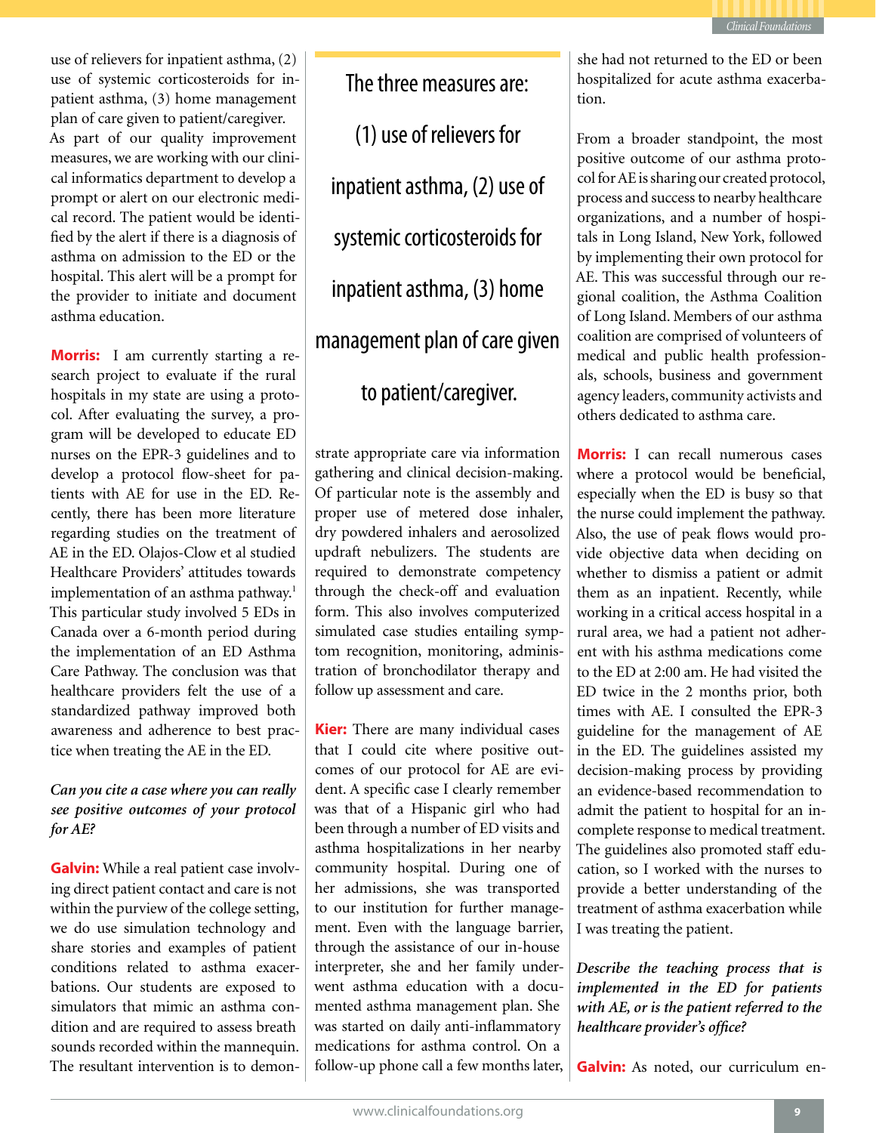

use of relievers for inpatient asthma, (2) use of systemic corticosteroids for inpatient asthma, (3) home management plan of care given to patient/caregiver. As part of our quality improvement measures, we are working with our clinical informatics department to develop a prompt or alert on our electronic medical record. The patient would be identified by the alert if there is a diagnosis of asthma on admission to the ED or the hospital. This alert will be a prompt for the provider to initiate and document asthma education.

**Morris:** I am currently starting a research project to evaluate if the rural hospitals in my state are using a protocol. After evaluating the survey, a program will be developed to educate ED nurses on the EPR-3 guidelines and to develop a protocol flow-sheet for patients with AE for use in the ED. Recently, there has been more literature regarding studies on the treatment of AE in the ED. Olajos-Clow et al studied Healthcare Providers' attitudes towards implementation of an asthma pathway.<sup>1</sup> This particular study involved 5 EDs in Canada over a 6-month period during the implementation of an ED Asthma Care Pathway. The conclusion was that healthcare providers felt the use of a standardized pathway improved both awareness and adherence to best practice when treating the AE in the ED.

### *Can you cite a case where you can really see positive outcomes of your protocol for AE?*

**Galvin:** While a real patient case involving direct patient contact and care is not within the purview of the college setting, we do use simulation technology and share stories and examples of patient conditions related to asthma exacerbations. Our students are exposed to simulators that mimic an asthma condition and are required to assess breath sounds recorded within the mannequin. The resultant intervention is to demon-

The three measures are: (1) use of relievers for inpatient asthma, (2) use of systemic corticosteroids for inpatient asthma, (3) home management plan of care given to patient/caregiver.

strate appropriate care via information gathering and clinical decision-making. Of particular note is the assembly and proper use of metered dose inhaler, dry powdered inhalers and aerosolized updraft nebulizers. The students are required to demonstrate competency through the check-off and evaluation form. This also involves computerized simulated case studies entailing symptom recognition, monitoring, administration of bronchodilator therapy and follow up assessment and care.

**Kier:** There are many individual cases that I could cite where positive outcomes of our protocol for AE are evident. A specific case I clearly remember was that of a Hispanic girl who had been through a number of ED visits and asthma hospitalizations in her nearby community hospital. During one of her admissions, she was transported to our institution for further management. Even with the language barrier, through the assistance of our in-house interpreter, she and her family underwent asthma education with a documented asthma management plan. She was started on daily anti-inflammatory medications for asthma control. On a follow-up phone call a few months later, she had not returned to the ED or been hospitalized for acute asthma exacerbation.

From a broader standpoint, the most positive outcome of our asthma protocol for AE is sharing our created protocol, process and success to nearby healthcare organizations, and a number of hospitals in Long Island, New York, followed by implementing their own protocol for AE. This was successful through our regional coalition, the Asthma Coalition of Long Island. Members of our asthma coalition are comprised of volunteers of medical and public health professionals, schools, business and government agency leaders, community activists and others dedicated to asthma care.

**Morris:** I can recall numerous cases where a protocol would be beneficial, especially when the ED is busy so that the nurse could implement the pathway. Also, the use of peak flows would provide objective data when deciding on whether to dismiss a patient or admit them as an inpatient. Recently, while working in a critical access hospital in a rural area, we had a patient not adherent with his asthma medications come to the ED at 2:00 am. He had visited the ED twice in the 2 months prior, both times with AE. I consulted the EPR-3 guideline for the management of AE in the ED. The guidelines assisted my decision-making process by providing an evidence-based recommendation to admit the patient to hospital for an incomplete response to medical treatment. The guidelines also promoted staff education, so I worked with the nurses to provide a better understanding of the treatment of asthma exacerbation while I was treating the patient.

*Describe the teaching process that is implemented in the ED for patients with AE, or is the patient referred to the healthcare provider's office?* 

**Galvin:** As noted, our curriculum en-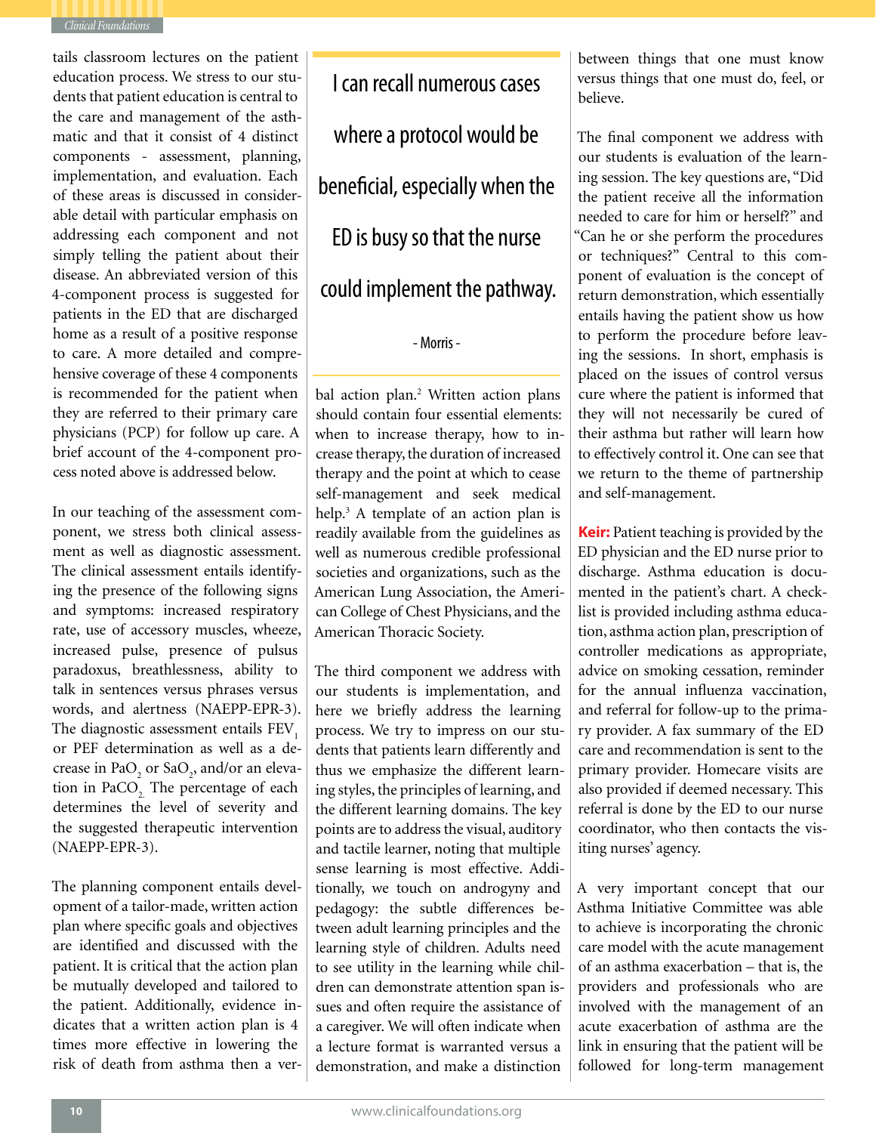

tails classroom lectures on the patient education process. We stress to our students that patient education is central to the care and management of the asthmatic and that it consist of 4 distinct components - assessment, planning, implementation, and evaluation. Each of these areas is discussed in considerable detail with particular emphasis on addressing each component and not simply telling the patient about their disease. An abbreviated version of this 4-component process is suggested for patients in the ED that are discharged home as a result of a positive response to care. A more detailed and comprehensive coverage of these 4 components is recommended for the patient when they are referred to their primary care physicians (PCP) for follow up care. A brief account of the 4-component process noted above is addressed below.

In our teaching of the assessment component, we stress both clinical assessment as well as diagnostic assessment. The clinical assessment entails identifying the presence of the following signs and symptoms: increased respiratory rate, use of accessory muscles, wheeze, increased pulse, presence of pulsus paradoxus, breathlessness, ability to talk in sentences versus phrases versus words, and alertness (NAEPP-EPR-3). The diagnostic assessment entails FEV<sub>1</sub> or PEF determination as well as a decrease in  $PaO_2$  or  $SaO_2$ , and/or an elevation in PaCO<sub>2</sub>. The percentage of each determines the level of severity and the suggested therapeutic intervention (NAEPP-EPR-3).

The planning component entails development of a tailor-made, written action plan where specific goals and objectives are identified and discussed with the patient. It is critical that the action plan be mutually developed and tailored to the patient. Additionally, evidence indicates that a written action plan is 4 times more effective in lowering the risk of death from asthma then a ver-

I can recall numerous cases where a protocol would be beneficial, especially when the ED is busy so that the nurse could implement the pathway.

- Morris -

bal action plan.<sup>2</sup> Written action plans should contain four essential elements: when to increase therapy, how to increase therapy, the duration of increased therapy and the point at which to cease self-management and seek medical help.<sup>3</sup> A template of an action plan is readily available from the guidelines as well as numerous credible professional societies and organizations, such as the American Lung Association, the American College of Chest Physicians, and the American Thoracic Society.

The third component we address with our students is implementation, and here we briefly address the learning process. We try to impress on our students that patients learn differently and thus we emphasize the different learning styles, the principles of learning, and the different learning domains. The key points are to address the visual, auditory and tactile learner, noting that multiple sense learning is most effective. Additionally, we touch on androgyny and pedagogy: the subtle differences between adult learning principles and the learning style of children. Adults need to see utility in the learning while children can demonstrate attention span issues and often require the assistance of a caregiver. We will often indicate when a lecture format is warranted versus a demonstration, and make a distinction

between things that one must know versus things that one must do, feel, or believe.

The final component we address with our students is evaluation of the learning session. The key questions are, "Did the patient receive all the information needed to care for him or herself?" and "Can he or she perform the procedures or techniques?" Central to this component of evaluation is the concept of return demonstration, which essentially entails having the patient show us how to perform the procedure before leaving the sessions. In short, emphasis is placed on the issues of control versus cure where the patient is informed that they will not necessarily be cured of their asthma but rather will learn how to effectively control it. One can see that we return to the theme of partnership and self-management.

**Keir:** Patient teaching is provided by the ED physician and the ED nurse prior to discharge. Asthma education is documented in the patient's chart. A checklist is provided including asthma education, asthma action plan, prescription of controller medications as appropriate, advice on smoking cessation, reminder for the annual influenza vaccination, and referral for follow-up to the primary provider. A fax summary of the ED care and recommendation is sent to the primary provider. Homecare visits are also provided if deemed necessary. This referral is done by the ED to our nurse coordinator, who then contacts the visiting nurses' agency.

A very important concept that our Asthma Initiative Committee was able to achieve is incorporating the chronic care model with the acute management of an asthma exacerbation – that is, the providers and professionals who are involved with the management of an acute exacerbation of asthma are the link in ensuring that the patient will be followed for long-term management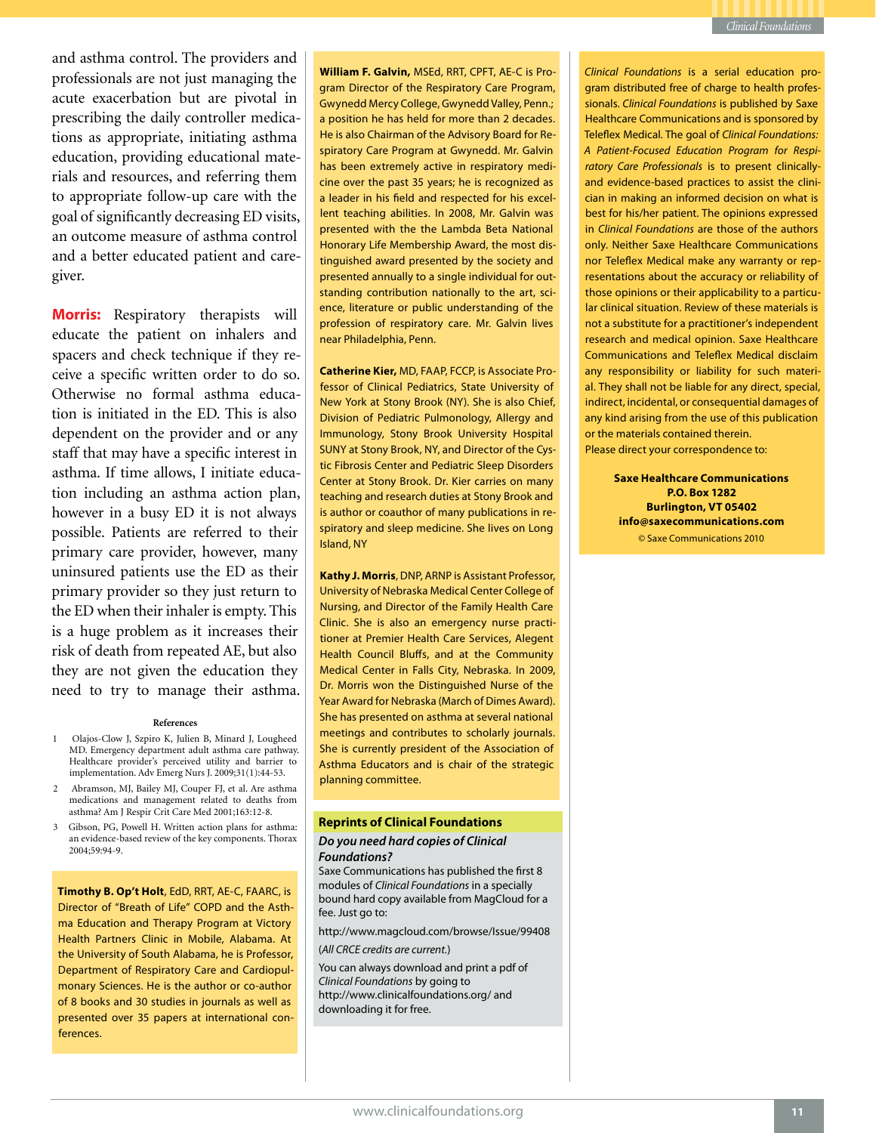and asthma control. The providers and professionals are not just managing the acute exacerbation but are pivotal in prescribing the daily controller medications as appropriate, initiating asthma education, providing educational materials and resources, and referring them to appropriate follow-up care with the goal of significantly decreasing ED visits, an outcome measure of asthma control and a better educated patient and caregiver.

**Morris:** Respiratory therapists will educate the patient on inhalers and spacers and check technique if they receive a specific written order to do so. Otherwise no formal asthma education is initiated in the ED. This is also dependent on the provider and or any staff that may have a specific interest in asthma. If time allows, I initiate education including an asthma action plan, however in a busy ED it is not always possible. Patients are referred to their primary care provider, however, many uninsured patients use the ED as their primary provider so they just return to the ED when their inhaler is empty. This is a huge problem as it increases their risk of death from repeated AE, but also they are not given the education they need to try to manage their asthma.

#### **References**

- 1 Olajos-Clow J, Szpiro K, Julien B, Minard J, Lougheed MD. Emergency department adult asthma care pathway. Healthcare provider's perceived utility and barrier to implementation. Adv Emerg Nurs J. 2009;31(1):44-53.
- 2 Abramson, MJ, Bailey MJ, Couper FJ, et al. Are asthma medications and management related to deaths from asthma? Am J Respir Crit Care Med 2001;163:12-8.
- 3 Gibson, PG, Powell H. Written action plans for asthma: an evidence-based review of the key components. Thorax 2004;59:94-9.

**Timothy B. Op't Holt**, EdD, RRT, AE-C, FAARC, is Director of "Breath of Life" COPD and the Asthma Education and Therapy Program at Victory Health Partners Clinic in Mobile, Alabama. At the University of South Alabama, he is Professor, Department of Respiratory Care and Cardiopulmonary Sciences. He is the author or co-author of 8 books and 30 studies in journals as well as presented over 35 papers at international conferences.

**William F. Galvin,** MSEd, RRT, CPFT, AE-C is Program Director of the Respiratory Care Program, Gwynedd Mercy College, Gwynedd Valley, Penn.; a position he has held for more than 2 decades. He is also Chairman of the Advisory Board for Respiratory Care Program at Gwynedd. Mr. Galvin has been extremely active in respiratory medicine over the past 35 years; he is recognized as a leader in his field and respected for his excellent teaching abilities. In 2008, Mr. Galvin was presented with the the Lambda Beta National Honorary Life Membership Award, the most distinguished award presented by the society and presented annually to a single individual for outstanding contribution nationally to the art, science, literature or public understanding of the profession of respiratory care. Mr. Galvin lives near Philadelphia, Penn.

**Catherine Kier,** MD, FAAP, FCCP, is Associate Professor of Clinical Pediatrics, State University of New York at Stony Brook (NY). She is also Chief, Division of Pediatric Pulmonology, Allergy and Immunology, Stony Brook University Hospital SUNY at Stony Brook, NY, and Director of the Cystic Fibrosis Center and Pediatric Sleep Disorders Center at Stony Brook. Dr. Kier carries on many teaching and research duties at Stony Brook and is author or coauthor of many publications in respiratory and sleep medicine. She lives on Long Island, NY

**Kathy J. Morris**, DNP, ARNP is Assistant Professor, University of Nebraska Medical Center College of Nursing, and Director of the Family Health Care Clinic. She is also an emergency nurse practitioner at Premier Health Care Services, Alegent Health Council Bluffs, and at the Community Medical Center in Falls City, Nebraska. In 2009, Dr. Morris won the Distinguished Nurse of the Year Award for Nebraska (March of Dimes Award). She has presented on asthma at several national meetings and contributes to scholarly journals. She is currently president of the Association of Asthma Educators and is chair of the strategic planning committee.

### **Reprints of Clinical Foundations**

### *Do you need hard copies of Clinical Foundations?*

Saxe Communications has published the first 8 modules of *Clinical Foundations* in a specially bound hard copy available from MagCloud for a fee. Just go to:

http://www.magcloud.com/browse/Issue/99408

(*All CRCE credits are current.*)

You can always download and print a pdf of *Clinical Foundations* by going to http://www.clinicalfoundations.org/ and downloading it for free.

*Clinical Foundations* is a serial education program distributed free of charge to health professionals. *Clinical Foundations* is published by Saxe Healthcare Communications and is sponsored by Teleflex Medical. The goal of *Clinical Foundations: A Patient-Focused Education Program for Respiratory Care Professionals* is to present clinicallyand evidence-based practices to assist the clinician in making an informed decision on what is best for his/her patient. The opinions expressed in *Clinical Foundations* are those of the authors only. Neither Saxe Healthcare Communications nor Teleflex Medical make any warranty or representations about the accuracy or reliability of those opinions or their applicability to a particular clinical situation. Review of these materials is not a substitute for a practitioner's independent research and medical opinion. Saxe Healthcare Communications and Teleflex Medical disclaim any responsibility or liability for such material. They shall not be liable for any direct, special, indirect, incidental, or consequential damages of any kind arising from the use of this publication or the materials contained therein. Please direct your correspondence to:

> **Saxe Healthcare Communications P.O. Box 1282 Burlington, VT 05402 info@saxecommunications.com** © Saxe Communications 2010